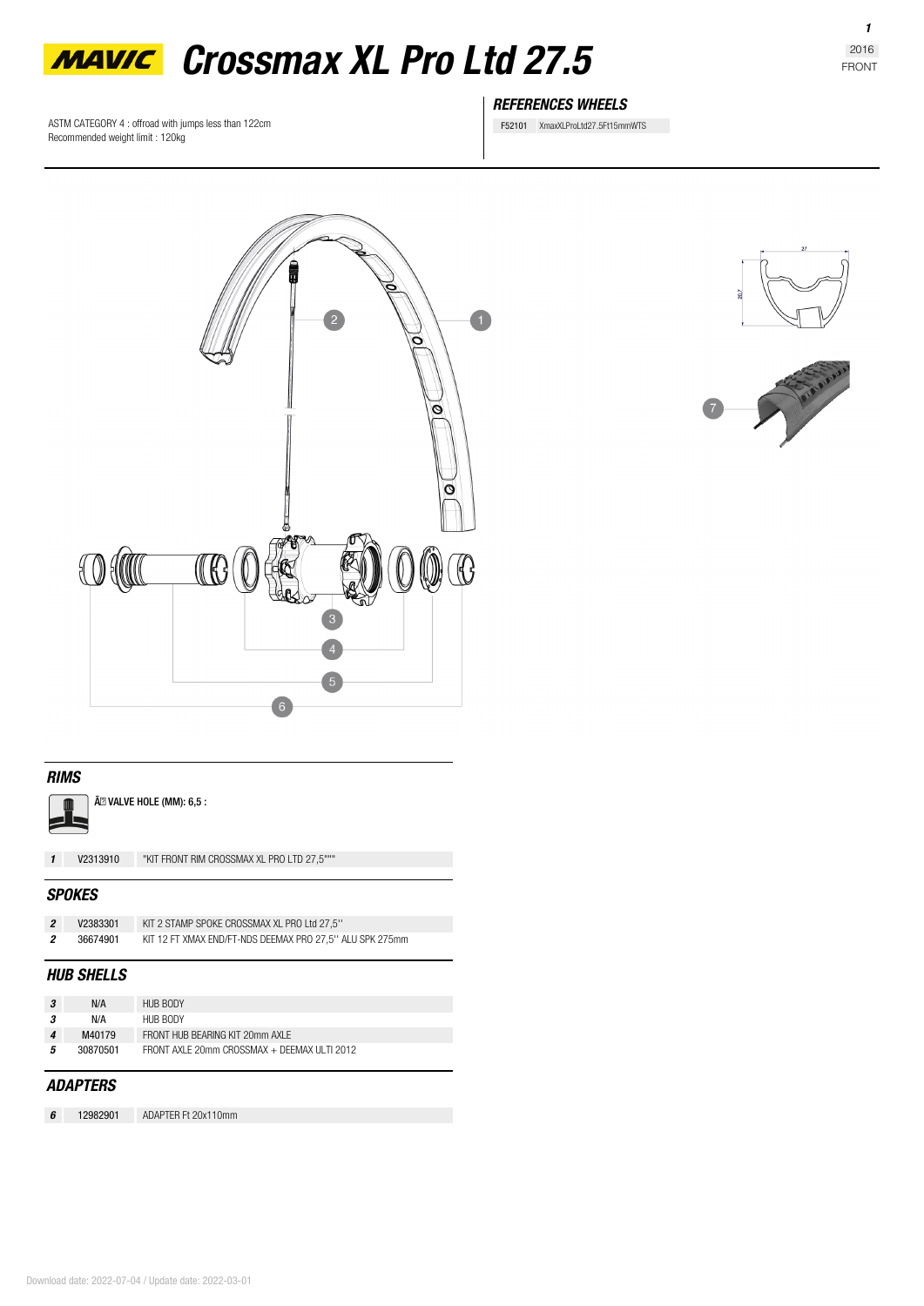

ASTM CATEGORY 4 : offroad with jumps less than 122cm Recommended weight limit : 120kg

# *REFERENCES WHEELS*

F52101 XmaxXLProLtd27.5Ft15mmWTS



# *RIMS*



Ã<sup>2</sup> VALVE HOLE (MM): 6,5 :

*1* **V2313910** "KIT FRONT RIM CROSSMAX XL PRO LTD 27,5"""

#### *SPOKES*

|     | V2383301 | KIT 2 STAMP SPOKE CROSSMAX XL PRO Ltd 27,5"              |
|-----|----------|----------------------------------------------------------|
| - 2 | 36674901 | KIT 12 FT XMAX END/FT-NDS DEEMAX PRO 27.5" ALU SPK 275mm |

# *HUB SHELLS*

| -3 | N/A      | HUB BODY                                     |  |
|----|----------|----------------------------------------------|--|
| 3  | N/A      | HUB BODY                                     |  |
| 4  | M40179   | FRONT HUB BEARING KIT 20mm AXI F             |  |
| 5  | 30870501 | FRONT AXI F 20mm CROSSMAX + DFFMAX ULTL 2012 |  |
|    |          |                                              |  |
|    |          |                                              |  |

## *ADAPTERS*

*6* **12982901** ADAPTER Ft 20x110mm